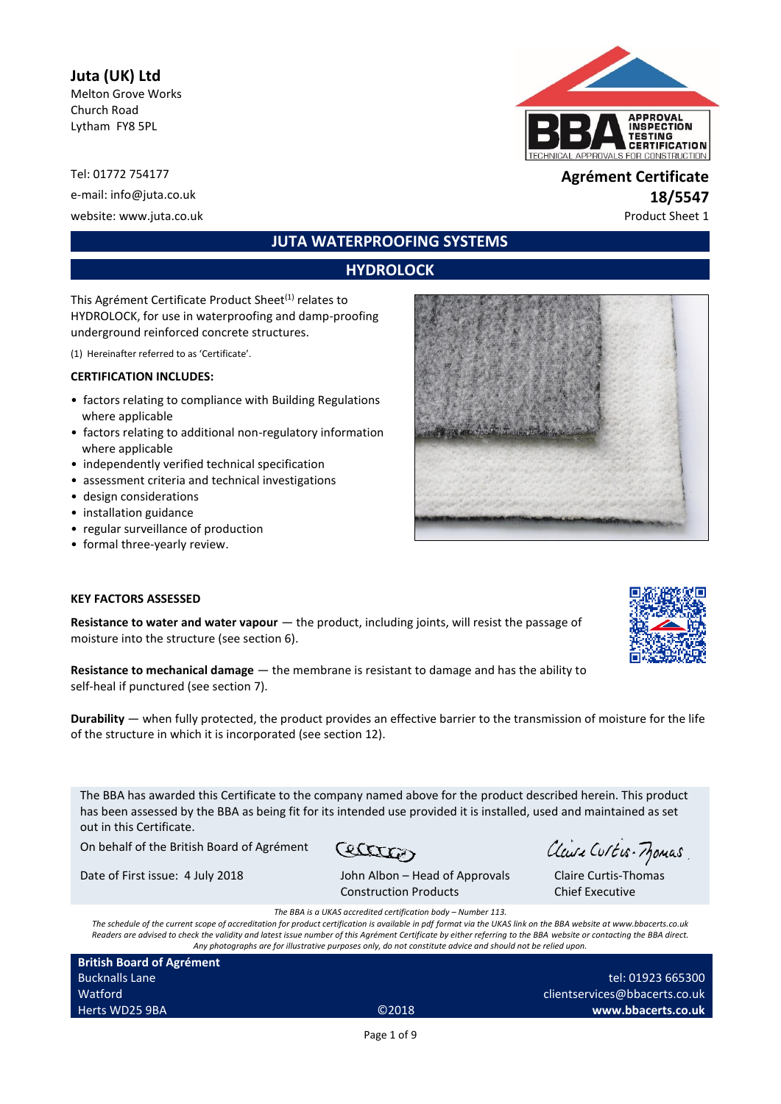# **Juta (UK) Ltd**

Melton Grove Works Church Road Lytham FY8 5PL

e-mail: info@juta.co.uk **18/5547** website: www.juta.co.uk et al. et al. et al. et al. et al. et al. et al. et al. et al. et al. et al. et al. et a

# **JUTA WATERPROOFING SYSTEMS**

# **HYDROLOCK**

This Agrément Certificate Product Sheet<sup>(1)</sup> relates to HYDROLOCK, for use in waterproofing and damp-proofing underground reinforced concrete structures.

(1) Hereinafter referred to as 'Certificate'.

#### **CERTIFICATION INCLUDES:**

- factors relating to compliance with Building Regulations where applicable
- factors relating to additional non-regulatory information where applicable
- independently verified technical specification
- assessment criteria and technical investigations
- design considerations
- installation guidance
- regular surveillance of production
- formal three-yearly review.



#### **KEY FACTORS ASSESSED**

**Resistance to water and water vapour**  $-$  the product, including joints, will resist the passage of moisture into the structure (see section 6).

**Resistance to mechanical damage** — the membrane is resistant to damage and has the ability to self-heal if punctured (see section 7).

**Durability** — when fully protected, the product provides an effective barrier to the transmission of moisture for the life of the structure in which it is incorporated (see section 12).

The BBA has awarded this Certificate to the company named above for the product described herein. This product has been assessed by the BBA as being fit for its intended use provided it is installed, used and maintained as set out in this Certificate.

On behalf of the British Board of Agrément

Cetter Date of First issue: 4 July 2018 John Albon – Head of Approvals

Claire Curtis-Momas

Claire Curtis-Thomas Chief Executive

Construction Products *The BBA is a UKAS accredited certification body – Number 113.*

*The schedule of the current scope of accreditation for product certification is available in pdf format via the UKAS link on the BBA website at www.bbacerts.co.uk Readers are advised to check the validity and latest issue number of this Agrément Certificate by either referring to the BBA website or contacting the BBA direct. Any photographs are for illustrative purposes only, do not constitute advice and should not be relied upon.*

**British Board of Agrément** Bucknalls Lane Watford Herts WD25 9BA ©2018

tel: 01923 665300 clientservices@bbacerts.co.uk **www.bbacerts.co.uk**

Page 1 of 9

Tel: 01772 754177 **Agrément Certificate**

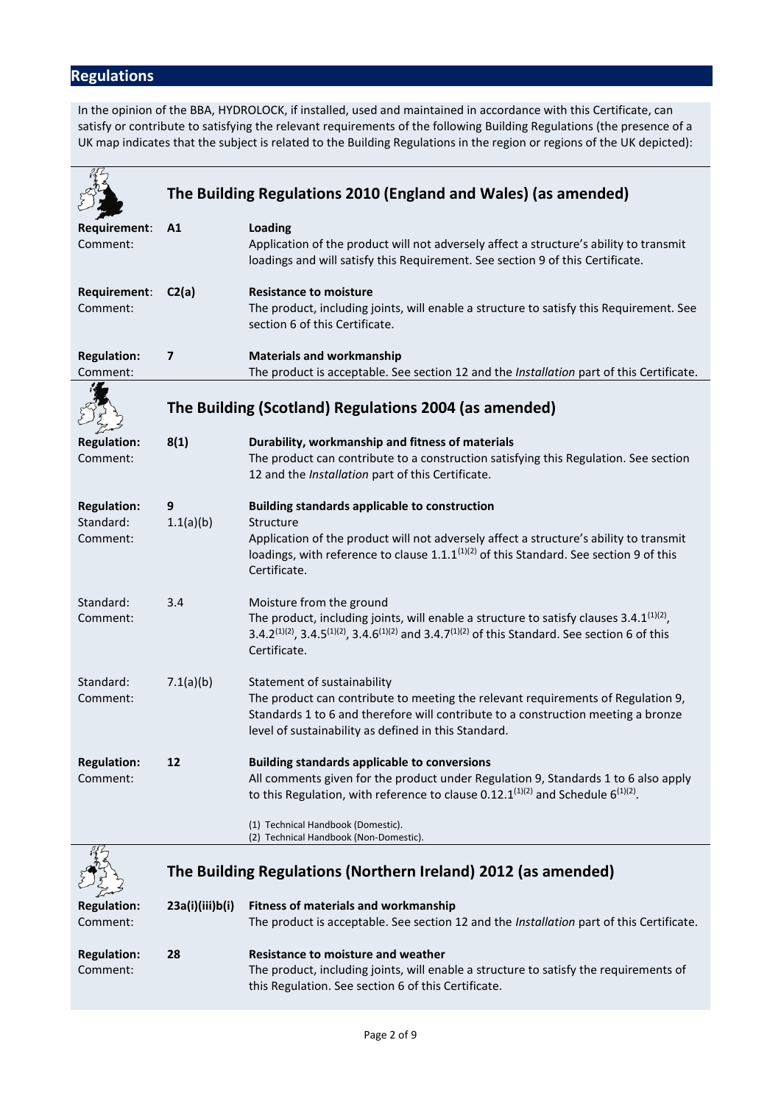# **Regulations**

In the opinion of the BBA, HYDROLOCK, if installed, used and maintained in accordance with this Certificate, can satisfy or contribute to satisfying the relevant requirements of the following Building Regulations (the presence of a UK map indicates that the subject is related to the Building Regulations in the region or regions of the UK depicted):

|                                             | The Building Regulations 2010 (England and Wales) (as amended) |                                                                                                                                                                                                                                                                                             |  |  |  |
|---------------------------------------------|----------------------------------------------------------------|---------------------------------------------------------------------------------------------------------------------------------------------------------------------------------------------------------------------------------------------------------------------------------------------|--|--|--|
| Requirement:<br>Comment:                    | A1                                                             | <b>Loading</b><br>Application of the product will not adversely affect a structure's ability to transmit<br>loadings and will satisfy this Requirement. See section 9 of this Certificate.                                                                                                  |  |  |  |
| Requirement:<br>Comment:                    | C2(a)                                                          | <b>Resistance to moisture</b><br>The product, including joints, will enable a structure to satisfy this Requirement. See<br>section 6 of this Certificate.                                                                                                                                  |  |  |  |
| <b>Regulation:</b><br>Comment:              | $\overline{7}$                                                 | <b>Materials and workmanship</b><br>The product is acceptable. See section 12 and the Installation part of this Certificate.                                                                                                                                                                |  |  |  |
|                                             | The Building (Scotland) Regulations 2004 (as amended)          |                                                                                                                                                                                                                                                                                             |  |  |  |
| <b>Regulation:</b><br>Comment:              | 8(1)                                                           | Durability, workmanship and fitness of materials<br>The product can contribute to a construction satisfying this Regulation. See section<br>12 and the Installation part of this Certificate.                                                                                               |  |  |  |
| <b>Regulation:</b><br>Standard:<br>Comment: | 9<br>1.1(a)(b)                                                 | <b>Building standards applicable to construction</b><br>Structure<br>Application of the product will not adversely affect a structure's ability to transmit<br>loadings, with reference to clause $1.1 \cdot 1^{(1)(2)}$ of this Standard. See section 9 of this<br>Certificate.            |  |  |  |
| Standard:<br>Comment:                       | 3.4                                                            | Moisture from the ground<br>The product, including joints, will enable a structure to satisfy clauses $3.4.1^{(1)(2)}$ ,<br>3.4.2 <sup>(1)(2)</sup> , 3.4.5 <sup>(1)(2)</sup> , 3.4.6 <sup>(1)(2)</sup> and 3.4.7 <sup>(1)(2)</sup> of this Standard. See section 6 of this<br>Certificate. |  |  |  |
| Standard:<br>Comment:                       | 7.1(a)(b)                                                      | Statement of sustainability<br>The product can contribute to meeting the relevant requirements of Regulation 9,<br>Standards 1 to 6 and therefore will contribute to a construction meeting a bronze<br>level of sustainability as defined in this Standard.                                |  |  |  |
| <b>Regulation:</b><br>Comment:              | 12                                                             | <b>Building standards applicable to conversions</b><br>All comments given for the product under Regulation 9, Standards 1 to 6 also apply<br>to this Regulation, with reference to clause 0.12.1 $(1)(2)$ and Schedule 6 $(1)(2)$ .<br>(1) Technical Handbook (Domestic).                   |  |  |  |
|                                             |                                                                | (2) Technical Handbook (Non-Domestic).                                                                                                                                                                                                                                                      |  |  |  |
|                                             | The Building Regulations (Northern Ireland) 2012 (as amended)  |                                                                                                                                                                                                                                                                                             |  |  |  |
| <b>Regulation:</b><br>Comment:              | 23a(i)(iii)b(i)                                                | <b>Fitness of materials and workmanship</b><br>The product is acceptable. See section 12 and the Installation part of this Certificate.                                                                                                                                                     |  |  |  |
| <b>Regulation:</b><br>Comment:              | 28                                                             | <b>Resistance to moisture and weather</b><br>The product, including joints, will enable a structure to satisfy the requirements of<br>this Regulation. See section 6 of this Certificate.                                                                                                   |  |  |  |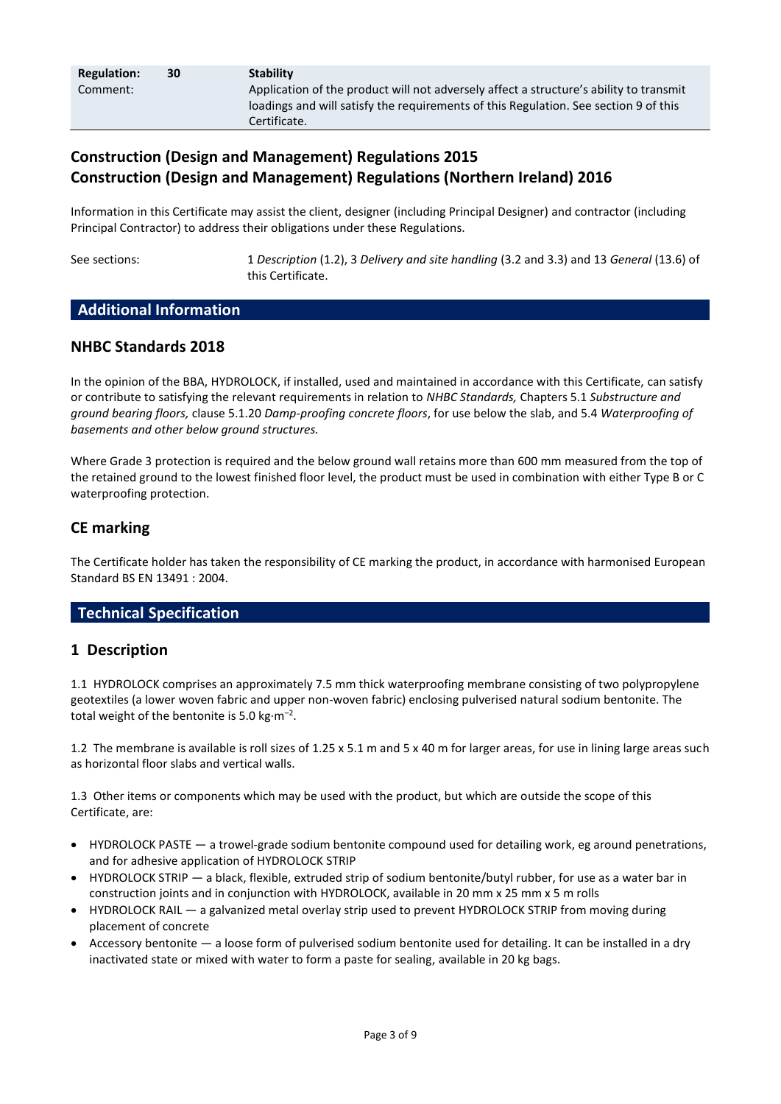| <b>Regulation:</b> | 30 | <b>Stability</b>                                                                       |
|--------------------|----|----------------------------------------------------------------------------------------|
| Comment:           |    | Application of the product will not adversely affect a structure's ability to transmit |
|                    |    | loadings and will satisfy the requirements of this Regulation. See section 9 of this   |
|                    |    | Certificate.                                                                           |

# **Construction (Design and Management) Regulations 2015 Construction (Design and Management) Regulations (Northern Ireland) 2016**

Information in this Certificate may assist the client, designer (including Principal Designer) and contractor (including Principal Contractor) to address their obligations under these Regulations.

See sections: 1 *Description* (1.2), 3 *Delivery and site handling* (3.2 and 3.3) and 13 *General* (13.6) of this Certificate.

## **Additional Information**

## **NHBC Standards 2018**

In the opinion of the BBA, HYDROLOCK, if installed, used and maintained in accordance with this Certificate, can satisfy or contribute to satisfying the relevant requirements in relation to *NHBC Standards,* Chapters 5.1 *Substructure and ground bearing floors,* clause 5.1.20 *Damp-proofing concrete floors*, for use below the slab, and 5.4 *Waterproofing of basements and other below ground structures.* 

Where Grade 3 protection is required and the below ground wall retains more than 600 mm measured from the top of the retained ground to the lowest finished floor level, the product must be used in combination with either Type B or C waterproofing protection.

## **CE marking**

The Certificate holder has taken the responsibility of CE marking the product, in accordance with harmonised European Standard BS EN 13491 : 2004.

# **Technical Specification**

## **1 Description**

1.1 HYDROLOCK comprises an approximately 7.5 mm thick waterproofing membrane consisting of two polypropylene geotextiles (a lower woven fabric and upper non-woven fabric) enclosing pulverised natural sodium bentonite. The total weight of the bentonite is 5.0 kg $\cdot$ m<sup>-2</sup>.

1.2 The membrane is available is roll sizes of 1.25 x 5.1 m and 5 x 40 m for larger areas, for use in lining large areas such as horizontal floor slabs and vertical walls.

1.3 Other items or components which may be used with the product, but which are outside the scope of this Certificate, are:

- HYDROLOCK PASTE a trowel-grade sodium bentonite compound used for detailing work, eg around penetrations, and for adhesive application of HYDROLOCK STRIP
- HYDROLOCK STRIP a black, flexible, extruded strip of sodium bentonite/butyl rubber, for use as a water bar in construction joints and in conjunction with HYDROLOCK, available in 20 mm x 25 mm x 5 m rolls
- HYDROLOCK RAIL a galvanized metal overlay strip used to prevent HYDROLOCK STRIP from moving during placement of concrete
- Accessory bentonite a loose form of pulverised sodium bentonite used for detailing. It can be installed in a dry inactivated state or mixed with water to form a paste for sealing, available in 20 kg bags.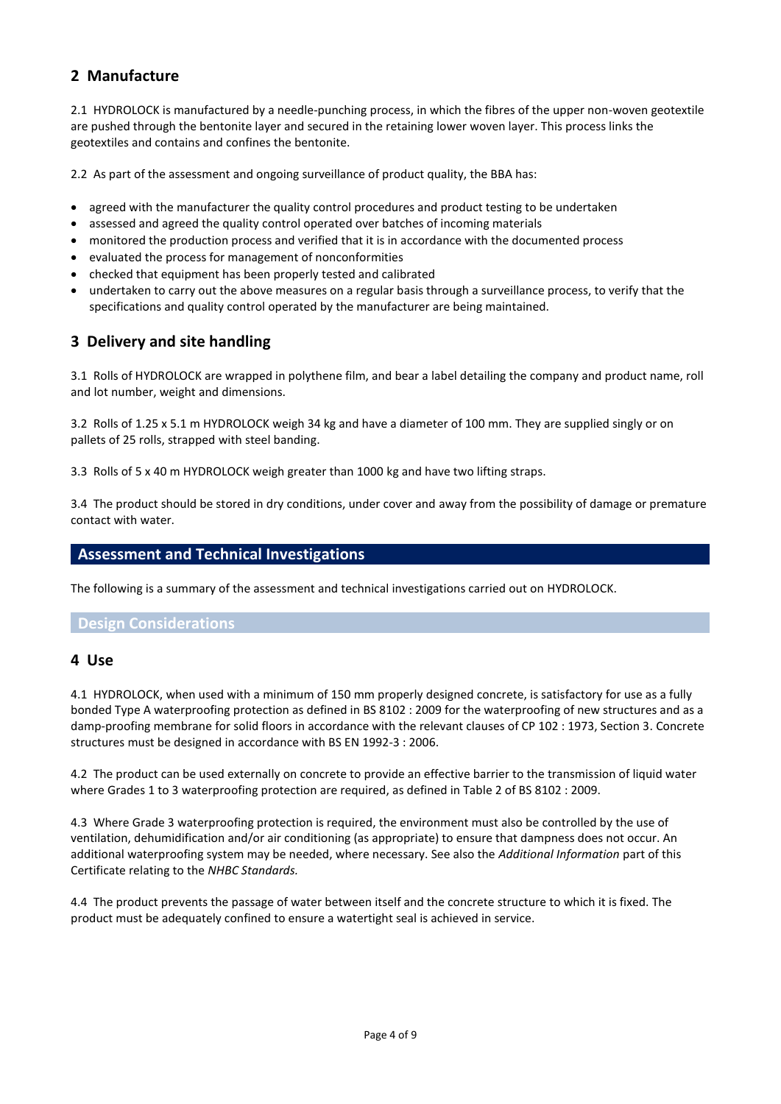# **2 Manufacture**

2.1 HYDROLOCK is manufactured by a needle-punching process, in which the fibres of the upper non-woven geotextile are pushed through the bentonite layer and secured in the retaining lower woven layer. This process links the geotextiles and contains and confines the bentonite.

2.2 As part of the assessment and ongoing surveillance of product quality, the BBA has:

- agreed with the manufacturer the quality control procedures and product testing to be undertaken
- assessed and agreed the quality control operated over batches of incoming materials
- monitored the production process and verified that it is in accordance with the documented process
- evaluated the process for management of nonconformities
- checked that equipment has been properly tested and calibrated
- undertaken to carry out the above measures on a regular basis through a surveillance process, to verify that the specifications and quality control operated by the manufacturer are being maintained.

# **3 Delivery and site handling**

3.1 Rolls of HYDROLOCK are wrapped in polythene film, and bear a label detailing the company and product name, roll and lot number, weight and dimensions.

3.2 Rolls of 1.25 x 5.1 m HYDROLOCK weigh 34 kg and have a diameter of 100 mm. They are supplied singly or on pallets of 25 rolls, strapped with steel banding.

3.3 Rolls of 5 x 40 m HYDROLOCK weigh greater than 1000 kg and have two lifting straps.

3.4 The product should be stored in dry conditions, under cover and away from the possibility of damage or premature contact with water.

#### **Assessment and Technical Investigations**

The following is a summary of the assessment and technical investigations carried out on HYDROLOCK.

#### **Design Considerations**

#### **4 Use**

4.1 HYDROLOCK, when used with a minimum of 150 mm properly designed concrete, is satisfactory for use as a fully bonded Type A waterproofing protection as defined in BS 8102 : 2009 for the waterproofing of new structures and as a damp-proofing membrane for solid floors in accordance with the relevant clauses of CP 102 : 1973, Section 3. Concrete structures must be designed in accordance with BS EN 1992-3 : 2006.

4.2 The product can be used externally on concrete to provide an effective barrier to the transmission of liquid water where Grades 1 to 3 waterproofing protection are required, as defined in Table 2 of BS 8102 : 2009.

4.3 Where Grade 3 waterproofing protection is required, the environment must also be controlled by the use of ventilation, dehumidification and/or air conditioning (as appropriate) to ensure that dampness does not occur. An additional waterproofing system may be needed, where necessary. See also the *Additional Information* part of this Certificate relating to the *NHBC Standards.*

4.4 The product prevents the passage of water between itself and the concrete structure to which it is fixed. The product must be adequately confined to ensure a watertight seal is achieved in service.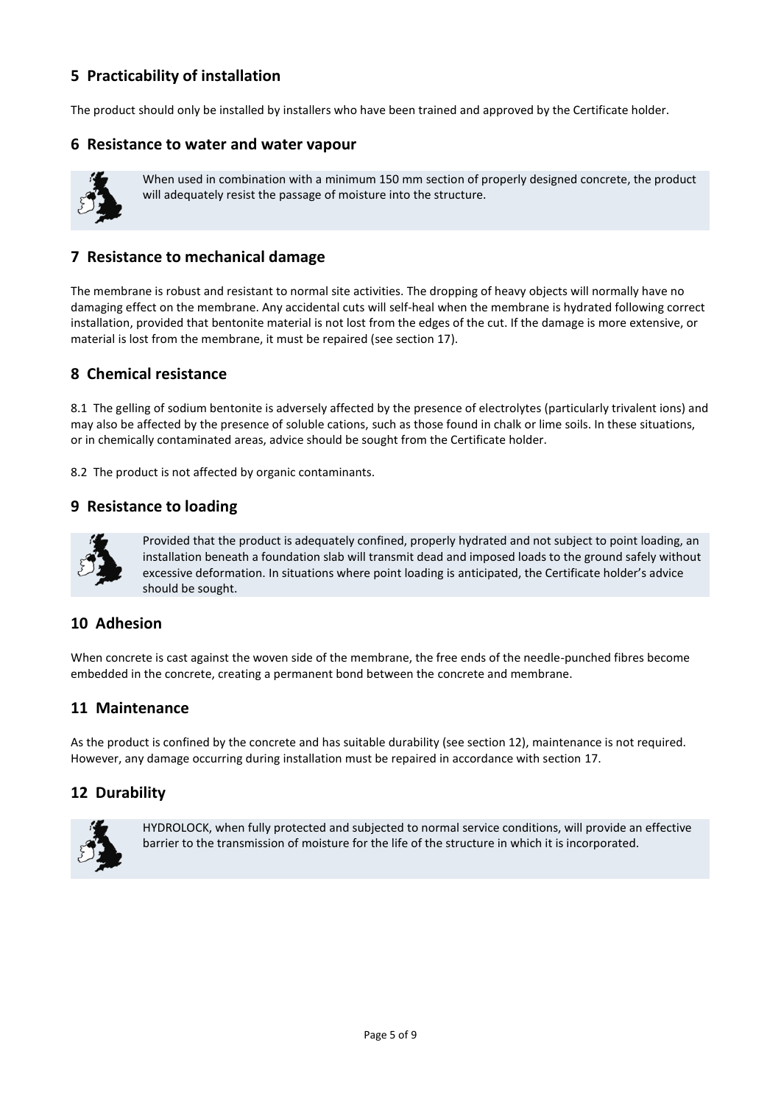# **5 Practicability of installation**

The product should only be installed by installers who have been trained and approved by the Certificate holder.

#### **6 Resistance to water and water vapour**



When used in combination with a minimum 150 mm section of properly designed concrete, the product will adequately resist the passage of moisture into the structure.

## **7 Resistance to mechanical damage**

The membrane is robust and resistant to normal site activities. The dropping of heavy objects will normally have no damaging effect on the membrane. Any accidental cuts will self-heal when the membrane is hydrated following correct installation, provided that bentonite material is not lost from the edges of the cut. If the damage is more extensive, or material is lost from the membrane, it must be repaired (see section 17).

## **8 Chemical resistance**

8.1 The gelling of sodium bentonite is adversely affected by the presence of electrolytes (particularly trivalent ions) and may also be affected by the presence of soluble cations, such as those found in chalk or lime soils. In these situations, or in chemically contaminated areas, advice should be sought from the Certificate holder.

8.2 The product is not affected by organic contaminants.

#### **9 Resistance to loading**



Provided that the product is adequately confined, properly hydrated and not subject to point loading, an installation beneath a foundation slab will transmit dead and imposed loads to the ground safely without excessive deformation. In situations where point loading is anticipated, the Certificate holder's advice should be sought.

## **10 Adhesion**

When concrete is cast against the woven side of the membrane, the free ends of the needle-punched fibres become embedded in the concrete, creating a permanent bond between the concrete and membrane.

## **11 Maintenance**

As the product is confined by the concrete and has suitable durability (see section 12), maintenance is not required. However, any damage occurring during installation must be repaired in accordance with section 17.

## **12 Durability**



HYDROLOCK, when fully protected and subjected to normal service conditions, will provide an effective barrier to the transmission of moisture for the life of the structure in which it is incorporated.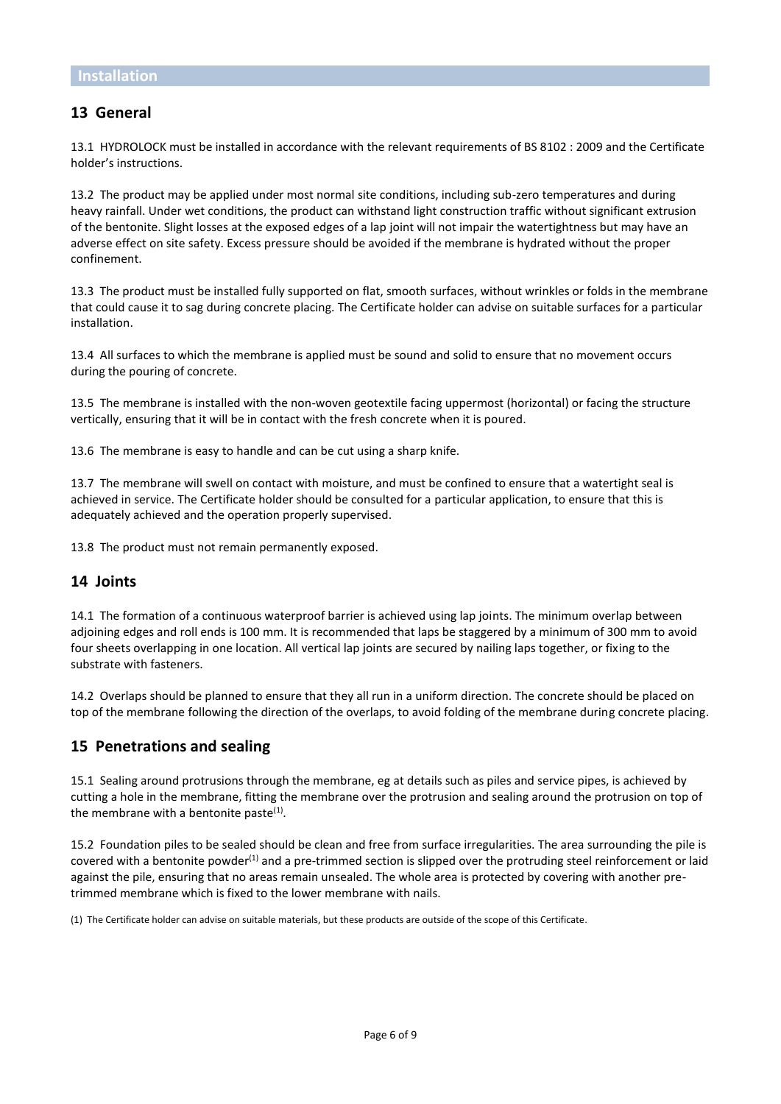## **13 General**

13.1 HYDROLOCK must be installed in accordance with the relevant requirements of BS 8102 : 2009 and the Certificate holder's instructions.

13.2 The product may be applied under most normal site conditions, including sub-zero temperatures and during heavy rainfall. Under wet conditions, the product can withstand light construction traffic without significant extrusion of the bentonite. Slight losses at the exposed edges of a lap joint will not impair the watertightness but may have an adverse effect on site safety. Excess pressure should be avoided if the membrane is hydrated without the proper confinement.

13.3 The product must be installed fully supported on flat, smooth surfaces, without wrinkles or folds in the membrane that could cause it to sag during concrete placing. The Certificate holder can advise on suitable surfaces for a particular installation.

13.4 All surfaces to which the membrane is applied must be sound and solid to ensure that no movement occurs during the pouring of concrete.

13.5 The membrane is installed with the non-woven geotextile facing uppermost (horizontal) or facing the structure vertically, ensuring that it will be in contact with the fresh concrete when it is poured.

13.6 The membrane is easy to handle and can be cut using a sharp knife.

13.7 The membrane will swell on contact with moisture, and must be confined to ensure that a watertight seal is achieved in service. The Certificate holder should be consulted for a particular application, to ensure that this is adequately achieved and the operation properly supervised.

13.8 The product must not remain permanently exposed.

#### **14 Joints**

14.1 The formation of a continuous waterproof barrier is achieved using lap joints. The minimum overlap between adjoining edges and roll ends is 100 mm. It is recommended that laps be staggered by a minimum of 300 mm to avoid four sheets overlapping in one location. All vertical lap joints are secured by nailing laps together, or fixing to the substrate with fasteners.

14.2 Overlaps should be planned to ensure that they all run in a uniform direction. The concrete should be placed on top of the membrane following the direction of the overlaps, to avoid folding of the membrane during concrete placing.

#### **15 Penetrations and sealing**

15.1 Sealing around protrusions through the membrane, eg at details such as piles and service pipes, is achieved by cutting a hole in the membrane, fitting the membrane over the protrusion and sealing around the protrusion on top of the membrane with a bentonite paste $<sup>(1)</sup>$ .</sup>

15.2 Foundation piles to be sealed should be clean and free from surface irregularities. The area surrounding the pile is covered with a bentonite powder<sup>(1)</sup> and a pre-trimmed section is slipped over the protruding steel reinforcement or laid against the pile, ensuring that no areas remain unsealed. The whole area is protected by covering with another pretrimmed membrane which is fixed to the lower membrane with nails.

(1) The Certificate holder can advise on suitable materials, but these products are outside of the scope of this Certificate.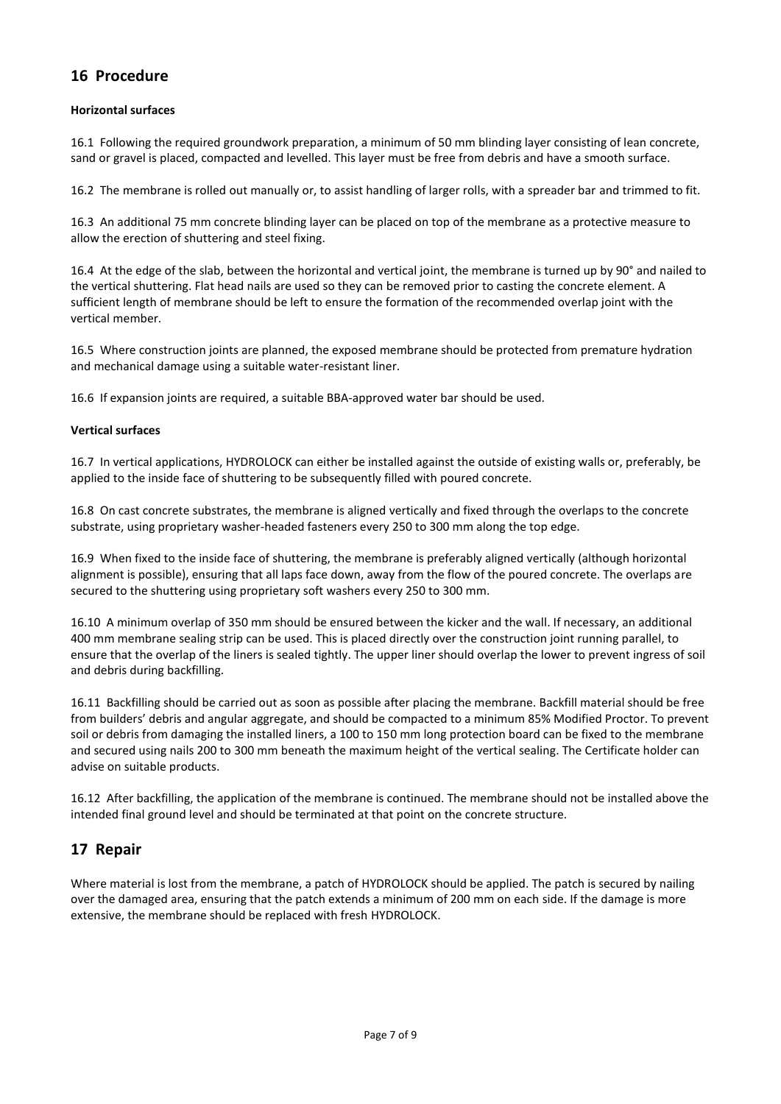# **16 Procedure**

#### **Horizontal surfaces**

16.1 Following the required groundwork preparation, a minimum of 50 mm blinding layer consisting of lean concrete, sand or gravel is placed, compacted and levelled. This layer must be free from debris and have a smooth surface.

16.2 The membrane is rolled out manually or, to assist handling of larger rolls, with a spreader bar and trimmed to fit.

16.3 An additional 75 mm concrete blinding layer can be placed on top of the membrane as a protective measure to allow the erection of shuttering and steel fixing.

16.4 At the edge of the slab, between the horizontal and vertical joint, the membrane is turned up by 90° and nailed to the vertical shuttering. Flat head nails are used so they can be removed prior to casting the concrete element. A sufficient length of membrane should be left to ensure the formation of the recommended overlap joint with the vertical member.

16.5 Where construction joints are planned, the exposed membrane should be protected from premature hydration and mechanical damage using a suitable water-resistant liner.

16.6 If expansion joints are required, a suitable BBA-approved water bar should be used.

#### **Vertical surfaces**

16.7 In vertical applications, HYDROLOCK can either be installed against the outside of existing walls or, preferably, be applied to the inside face of shuttering to be subsequently filled with poured concrete.

16.8 On cast concrete substrates, the membrane is aligned vertically and fixed through the overlaps to the concrete substrate, using proprietary washer-headed fasteners every 250 to 300 mm along the top edge.

16.9 When fixed to the inside face of shuttering, the membrane is preferably aligned vertically (although horizontal alignment is possible), ensuring that all laps face down, away from the flow of the poured concrete. The overlaps are secured to the shuttering using proprietary soft washers every 250 to 300 mm.

16.10 A minimum overlap of 350 mm should be ensured between the kicker and the wall. If necessary, an additional 400 mm membrane sealing strip can be used. This is placed directly over the construction joint running parallel, to ensure that the overlap of the liners is sealed tightly. The upper liner should overlap the lower to prevent ingress of soil and debris during backfilling.

16.11 Backfilling should be carried out as soon as possible after placing the membrane. Backfill material should be free from builders' debris and angular aggregate, and should be compacted to a minimum 85% Modified Proctor. To prevent soil or debris from damaging the installed liners, a 100 to 150 mm long protection board can be fixed to the membrane and secured using nails 200 to 300 mm beneath the maximum height of the vertical sealing. The Certificate holder can advise on suitable products.

16.12 After backfilling, the application of the membrane is continued. The membrane should not be installed above the intended final ground level and should be terminated at that point on the concrete structure.

# **17 Repair**

Where material is lost from the membrane, a patch of HYDROLOCK should be applied. The patch is secured by nailing over the damaged area, ensuring that the patch extends a minimum of 200 mm on each side. If the damage is more extensive, the membrane should be replaced with fresh HYDROLOCK.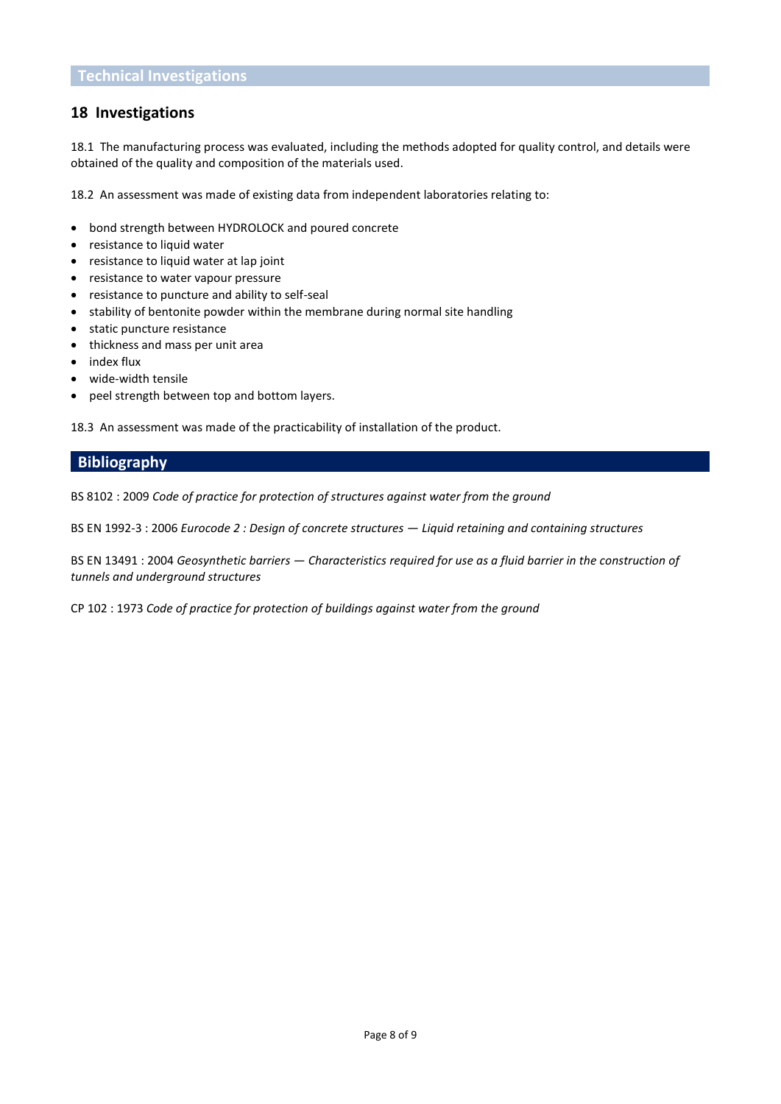## **18 Investigations**

18.1 The manufacturing process was evaluated, including the methods adopted for quality control, and details were obtained of the quality and composition of the materials used.

18.2 An assessment was made of existing data from independent laboratories relating to:

- bond strength between HYDROLOCK and poured concrete
- resistance to liquid water
- resistance to liquid water at lap joint
- resistance to water vapour pressure
- resistance to puncture and ability to self-seal
- stability of bentonite powder within the membrane during normal site handling
- static puncture resistance
- thickness and mass per unit area
- index flux
- wide-width tensile
- peel strength between top and bottom layers.

18.3 An assessment was made of the practicability of installation of the product.

## **Bibliography**

BS 8102 : 2009 *Code of practice for protection of structures against water from the ground*

BS EN 1992-3 : 2006 *Eurocode 2 : Design of concrete structures — Liquid retaining and containing structures*

BS EN 13491 : 2004 *Geosynthetic barriers — Characteristics required for use as a fluid barrier in the construction of tunnels and underground structures*

CP 102 : 1973 *Code of practice for protection of buildings against water from the ground*